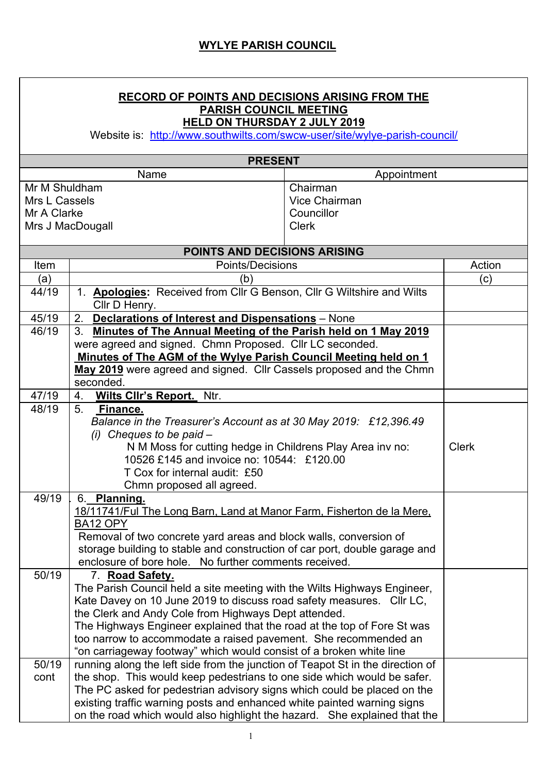## **RECORD OF POINTS AND DECISIONS ARISING FROM THE PARISH COUNCIL MEETING HELD ON THURSDAY 2 JULY 2019**

Website is: http://www.southwilts.com/swcw-user/site/wylye-parish-council/

| <b>PRESENT</b> |                                                                                                                              |               |              |  |  |
|----------------|------------------------------------------------------------------------------------------------------------------------------|---------------|--------------|--|--|
|                | Name                                                                                                                         | Appointment   |              |  |  |
|                | Mr M Shuldham<br>Chairman                                                                                                    |               |              |  |  |
| Mrs L Cassels  |                                                                                                                              | Vice Chairman |              |  |  |
| Mr A Clarke    |                                                                                                                              | Councillor    |              |  |  |
|                | Mrs J MacDougall                                                                                                             | <b>Clerk</b>  |              |  |  |
|                |                                                                                                                              |               |              |  |  |
|                | <b>POINTS AND DECISIONS ARISING</b>                                                                                          |               |              |  |  |
| Item           | Points/Decisions                                                                                                             |               | Action       |  |  |
| (a)<br>44/19   | (b)                                                                                                                          |               | (c)          |  |  |
|                | 1. Apologies: Received from Cllr G Benson, Cllr G Wiltshire and Wilts<br>Cllr D Henry.                                       |               |              |  |  |
| 45/19          | <b>Declarations of Interest and Dispensations</b> - None<br>2.                                                               |               |              |  |  |
| 46/19          | 3. Minutes of The Annual Meeting of the Parish held on 1 May 2019                                                            |               |              |  |  |
|                | were agreed and signed. Chmn Proposed. Cllr LC seconded.                                                                     |               |              |  |  |
|                | Minutes of The AGM of the Wylye Parish Council Meeting held on 1                                                             |               |              |  |  |
|                | May 2019 were agreed and signed. Cllr Cassels proposed and the Chmn                                                          |               |              |  |  |
|                | seconded.                                                                                                                    |               |              |  |  |
| 47/19          | 4.<br><b>Wilts Clir's Report.</b> Ntr.                                                                                       |               |              |  |  |
| 48/19          | 5 <sub>1</sub><br>Finance.                                                                                                   |               |              |  |  |
|                | Balance in the Treasurer's Account as at 30 May 2019: £12,396.49<br>$(i)$ Cheques to be paid $-$                             |               |              |  |  |
|                | N M Moss for cutting hedge in Childrens Play Area inv no:                                                                    |               | <b>Clerk</b> |  |  |
|                | 10526 £145 and invoice no: 10544: £120.00                                                                                    |               |              |  |  |
|                | T Cox for internal audit: £50                                                                                                |               |              |  |  |
|                | Chmn proposed all agreed.                                                                                                    |               |              |  |  |
| 49/19          | 6. Planning.                                                                                                                 |               |              |  |  |
|                | 18/11741/Ful The Long Barn, Land at Manor Farm, Fisherton de la Mere,                                                        |               |              |  |  |
|                | BA12 OPY                                                                                                                     |               |              |  |  |
|                | Removal of two concrete yard areas and block walls, conversion of                                                            |               |              |  |  |
|                | storage building to stable and construction of car port, double garage and                                                   |               |              |  |  |
|                | enclosure of bore hole. No further comments received.                                                                        |               |              |  |  |
| 50/19          | 7. Road Safety.                                                                                                              |               |              |  |  |
|                | The Parish Council held a site meeting with the Wilts Highways Engineer,                                                     |               |              |  |  |
|                | Kate Davey on 10 June 2019 to discuss road safety measures. Cllr LC,<br>the Clerk and Andy Cole from Highways Dept attended. |               |              |  |  |
|                | The Highways Engineer explained that the road at the top of Fore St was                                                      |               |              |  |  |
|                | too narrow to accommodate a raised pavement. She recommended an                                                              |               |              |  |  |
|                | "on carriageway footway" which would consist of a broken white line                                                          |               |              |  |  |
| 50/19          | running along the left side from the junction of Teapot St in the direction of                                               |               |              |  |  |
| cont           | the shop. This would keep pedestrians to one side which would be safer.                                                      |               |              |  |  |
|                | The PC asked for pedestrian advisory signs which could be placed on the                                                      |               |              |  |  |
|                | existing traffic warning posts and enhanced white painted warning signs                                                      |               |              |  |  |
|                | on the road which would also highlight the hazard. She explained that the                                                    |               |              |  |  |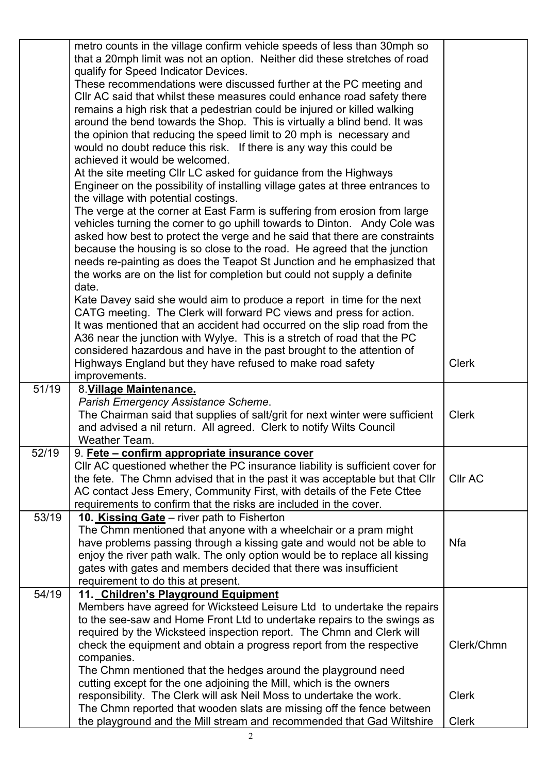|                    | metro counts in the village confirm vehicle speeds of less than 30mph so<br>that a 20mph limit was not an option. Neither did these stretches of road |                |
|--------------------|-------------------------------------------------------------------------------------------------------------------------------------------------------|----------------|
|                    | qualify for Speed Indicator Devices.                                                                                                                  |                |
|                    | These recommendations were discussed further at the PC meeting and                                                                                    |                |
|                    | CIIr AC said that whilst these measures could enhance road safety there                                                                               |                |
|                    | remains a high risk that a pedestrian could be injured or killed walking                                                                              |                |
|                    | around the bend towards the Shop. This is virtually a blind bend. It was                                                                              |                |
|                    | the opinion that reducing the speed limit to 20 mph is necessary and                                                                                  |                |
|                    | would no doubt reduce this risk. If there is any way this could be                                                                                    |                |
|                    | achieved it would be welcomed.                                                                                                                        |                |
|                    | At the site meeting CIIr LC asked for guidance from the Highways                                                                                      |                |
|                    | Engineer on the possibility of installing village gates at three entrances to                                                                         |                |
|                    | the village with potential costings.                                                                                                                  |                |
|                    | The verge at the corner at East Farm is suffering from erosion from large                                                                             |                |
|                    | vehicles turning the corner to go uphill towards to Dinton. Andy Cole was                                                                             |                |
|                    | asked how best to protect the verge and he said that there are constraints                                                                            |                |
|                    | because the housing is so close to the road. He agreed that the junction                                                                              |                |
|                    | needs re-painting as does the Teapot St Junction and he emphasized that                                                                               |                |
|                    | the works are on the list for completion but could not supply a definite                                                                              |                |
|                    | date.                                                                                                                                                 |                |
|                    | Kate Davey said she would aim to produce a report in time for the next                                                                                |                |
|                    | CATG meeting. The Clerk will forward PC views and press for action.                                                                                   |                |
|                    | It was mentioned that an accident had occurred on the slip road from the                                                                              |                |
|                    | A36 near the junction with Wylye. This is a stretch of road that the PC                                                                               |                |
|                    | considered hazardous and have in the past brought to the attention of                                                                                 |                |
|                    | Highways England but they have refused to make road safety                                                                                            | <b>Clerk</b>   |
|                    | improvements.                                                                                                                                         |                |
| $\overline{51/19}$ | 8. Village Maintenance.                                                                                                                               |                |
|                    | Parish Emergency Assistance Scheme.                                                                                                                   |                |
|                    | The Chairman said that supplies of salt/grit for next winter were sufficient                                                                          | <b>Clerk</b>   |
|                    | and advised a nil return. All agreed. Clerk to notify Wilts Council                                                                                   |                |
|                    | Weather Team.                                                                                                                                         |                |
| 52/19              | 9. Fete – confirm appropriate insurance cover                                                                                                         |                |
|                    | CIIr AC questioned whether the PC insurance liability is sufficient cover for                                                                         | <b>Cllr AC</b> |
|                    | the fete. The Chmn advised that in the past it was acceptable but that Cllr                                                                           |                |
|                    | AC contact Jess Emery, Community First, with details of the Fete Cttee<br>requirements to confirm that the risks are included in the cover.           |                |
| 53/19              | 10. Kissing Gate – river path to Fisherton                                                                                                            |                |
|                    | The Chmn mentioned that anyone with a wheelchair or a pram might                                                                                      |                |
|                    | have problems passing through a kissing gate and would not be able to                                                                                 | <b>Nfa</b>     |
|                    | enjoy the river path walk. The only option would be to replace all kissing                                                                            |                |
|                    | gates with gates and members decided that there was insufficient                                                                                      |                |
|                    | requirement to do this at present.                                                                                                                    |                |
| 54/19              | 11. Children's Playground Equipment                                                                                                                   |                |
|                    | Members have agreed for Wicksteed Leisure Ltd to undertake the repairs                                                                                |                |
|                    | to the see-saw and Home Front Ltd to undertake repairs to the swings as                                                                               |                |
|                    | required by the Wicksteed inspection report. The Chmn and Clerk will                                                                                  |                |
|                    | check the equipment and obtain a progress report from the respective                                                                                  | Clerk/Chmn     |
|                    | companies.                                                                                                                                            |                |
|                    | The Chmn mentioned that the hedges around the playground need                                                                                         |                |
|                    | cutting except for the one adjoining the Mill, which is the owners                                                                                    |                |
|                    |                                                                                                                                                       |                |
|                    | responsibility. The Clerk will ask Neil Moss to undertake the work.                                                                                   | <b>Clerk</b>   |
|                    | The Chmn reported that wooden slats are missing off the fence between                                                                                 |                |